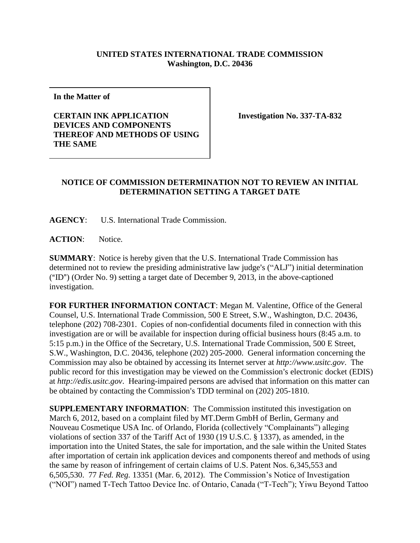## **UNITED STATES INTERNATIONAL TRADE COMMISSION Washington, D.C. 20436**

**In the Matter of**

## **CERTAIN INK APPLICATION DEVICES AND COMPONENTS THEREOF AND METHODS OF USING THE SAME**

**Investigation No. 337-TA-832**

## **NOTICE OF COMMISSION DETERMINATION NOT TO REVIEW AN INITIAL DETERMINATION SETTING A TARGET DATE**

**AGENCY**: U.S. International Trade Commission.

**ACTION**: Notice.

**SUMMARY**: Notice is hereby given that the U.S. International Trade Commission has determined not to review the presiding administrative law judge's ("ALJ") initial determination  $(HD<sup>n</sup>)$  (Order No. 9) setting a target date of December 9, 2013, in the above-captioned investigation.

**FOR FURTHER INFORMATION CONTACT**: Megan M. Valentine, Office of the General Counsel, U.S. International Trade Commission, 500 E Street, S.W., Washington, D.C. 20436, telephone (202) 708-2301. Copies of non-confidential documents filed in connection with this investigation are or will be available for inspection during official business hours (8:45 a.m. to 5:15 p.m.) in the Office of the Secretary, U.S. International Trade Commission, 500 E Street, S.W., Washington, D.C. 20436, telephone (202) 205-2000. General information concerning the Commission may also be obtained by accessing its Internet server at *http://www.usitc.gov*. The public record for this investigation may be viewed on the Commission's electronic docket (EDIS) at *http://edis.usitc.gov*. Hearing-impaired persons are advised that information on this matter can be obtained by contacting the Commission's TDD terminal on (202) 205-1810.

**SUPPLEMENTARY INFORMATION:** The Commission instituted this investigation on March 6, 2012, based on a complaint filed by MT.Derm GmbH of Berlin, Germany and Nouveau Cosmetique USA Inc. of Orlando, Florida (collectively "Complainants") alleging violations of section 337 of the Tariff Act of 1930 (19 U.S.C. § 1337), as amended, in the importation into the United States, the sale for importation, and the sale within the United States after importation of certain ink application devices and components thereof and methods of using the same by reason of infringement of certain claims of U.S. Patent Nos. 6,345,553 and 6,505,530. 77 *Fed. Reg.* 13351 (Mar. 6, 2012). The Commission's Notice of Investigation ("NOI") named T-Tech Tattoo Device Inc. of Ontario, Canada ("T-Tech"); Yiwu Beyond Tattoo